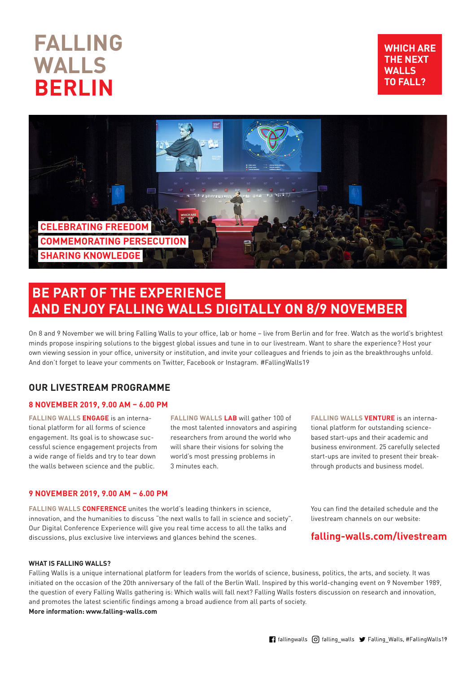# **FALLING WALLS BERLIN**





## **BE PART OF THE EXPERIENCE AND ENJOY FALLING WALLS DIGITALLY ON 8/9 NOVEMBER**

On 8 and 9 November we will bring Falling Walls to your office, lab or home – live from Berlin and for free. Watch as the world's brightest minds propose inspiring solutions to the biggest global issues and tune in to our livestream. Want to share the experience? Host your own viewing session in your office, university or institution, and invite your colleagues and friends to join as the breakthroughs unfold. And don't forget to leave your comments on Twitter, Facebook or Instagram. #FallingWalls19

## **OUR LIVESTREAM PROGRAMME**

#### **8 NOVEMBER 2019, 9.00 AM – 6.00 PM**

**FALLING WALLS ENGAGE** is an international platform for all forms of science engagement. Its goal is to showcase successful science engagement projects from a wide range of fields and try to tear down the walls between science and the public.

**FALLING WALLS LAB** will gather 100 of the most talented innovators and aspiring researchers from around the world who will share their visions for solving the world's most pressing problems in 3 minutes each.

#### **9 NOVEMBER 2019, 9.00 AM – 6.00 PM**

**FALLING WALLS CONFERENCE** unites the world's leading thinkers in science, innovation, and the humanities to discuss "the next walls to fall in science and society". Our Digital Conference Experience will give you real time access to all the talks and discussions, plus exclusive live interviews and glances behind the scenes.

**FALLING WALLS VENTURE** is an international platform for outstanding sciencebased start-ups and their academic and business environment. 25 carefully selected start-ups are invited to present their breakthrough products and business model.

You can find the detailed schedule and the livestream channels on our website:

## **falling-walls.com/livestream**

#### **WHAT IS FALLING WALLS?**

Falling Walls is a unique international platform for leaders from the worlds of science, business, politics, the arts, and society. It was initiated on the occasion of the 20th anniversary of the fall of the Berlin Wall. Inspired by this world-changing event on 9 November 1989. the question of every Falling Walls gathering is: Which walls will fall next? Falling Walls fosters discussion on research and innovation, and promotes the latest scientific findings among a broad audience from all parts of society. **More information: www.falling-walls.com**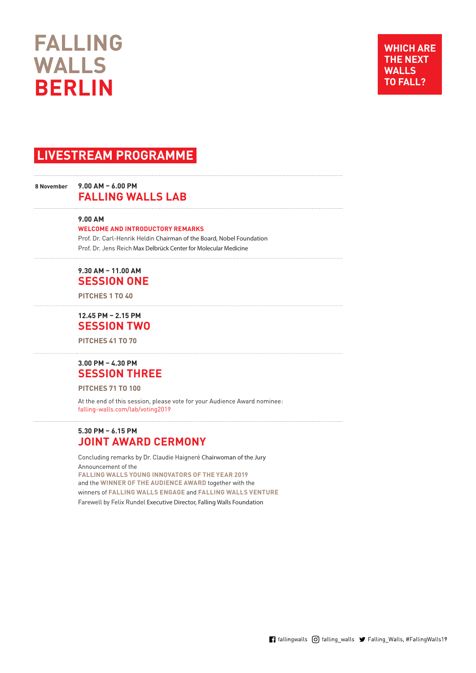# **FALLING WALLS BERLIN**

## **LIVESTREAM PROGRAMME**

#### **8 November 9.00 AM – 6.00 PM FALLING WALLS LAB**

#### **9.00 AM**

**WELCOME AND INTRODUCTORY REMARKS**

Prof. Dr. Carl-Henrik Heldin Chairman of the Board, Nobel Foundation Prof. Dr. Jens Reich Max Delbrück Center for Molecular Medicine

## **9.30 AM – 11.00 AM SESSION ONE**

**PITCHES 1 TO 40**

**12.45 PM – 2.15 PM SESSION TWO** 

**PITCHES 41 TO 70**

### **3.00 PM – 4.30 PM SESSION THREE**

**PITCHES 71 TO 100**

At the end of this session, please vote for your Audience Award nominee: falling-walls.com/lab/voting2019

#### **5.30 PM – 6.15 PM JOINT AWARD CERMONY**

Concluding remarks by Dr. Claudie Haigneré Chairwoman of the Jury Announcement of the **FALLING WALLS YOUNG INNOVATORS OF THE YEAR 2019**  and the **WINNER OF THE AUDIENCE AWARD** together with the winners of **FALLING WALLS ENGAGE** and **FALLING WALLS VENTURE** Farewell by Felix Rundel Executive Director, Falling Walls Foundation